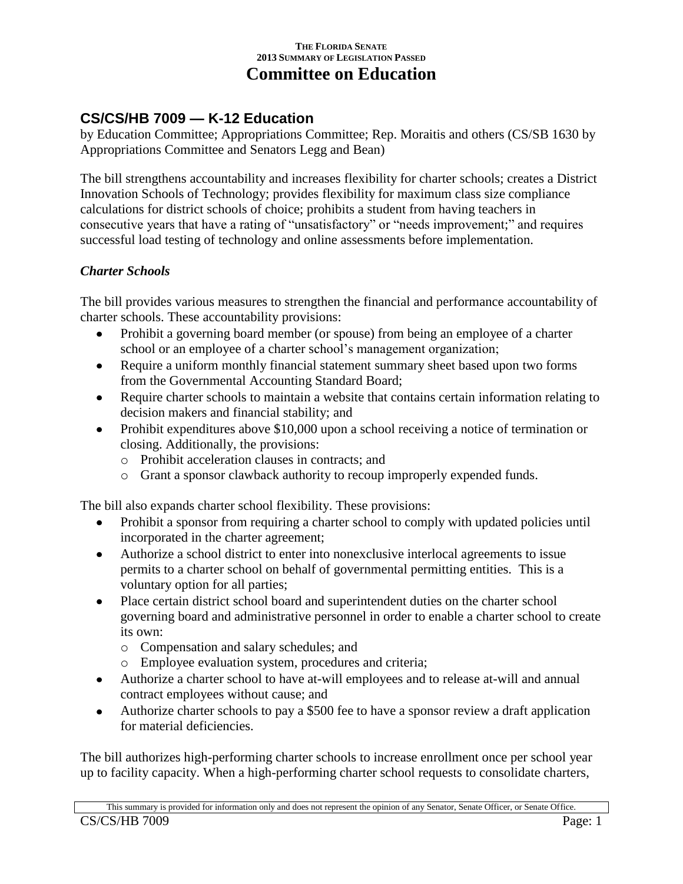#### **THE FLORIDA SENATE 2013 SUMMARY OF LEGISLATION PASSED Committee on Education**

# **CS/CS/HB 7009 — K-12 Education**

by Education Committee; Appropriations Committee; Rep. Moraitis and others (CS/SB 1630 by Appropriations Committee and Senators Legg and Bean)

The bill strengthens accountability and increases flexibility for charter schools; creates a District Innovation Schools of Technology; provides flexibility for maximum class size compliance calculations for district schools of choice; prohibits a student from having teachers in consecutive years that have a rating of "unsatisfactory" or "needs improvement;" and requires successful load testing of technology and online assessments before implementation.

## *Charter Schools*

The bill provides various measures to strengthen the financial and performance accountability of charter schools. These accountability provisions:

- Prohibit a governing board member (or spouse) from being an employee of a charter  $\bullet$ school or an employee of a charter school's management organization;
- Require a uniform monthly financial statement summary sheet based upon two forms  $\bullet$ from the Governmental Accounting Standard Board;
- Require charter schools to maintain a website that contains certain information relating to decision makers and financial stability; and
- Prohibit expenditures above \$10,000 upon a school receiving a notice of termination or  $\bullet$ closing. Additionally, the provisions:
	- o Prohibit acceleration clauses in contracts; and
	- o Grant a sponsor clawback authority to recoup improperly expended funds.

The bill also expands charter school flexibility. These provisions:

- Prohibit a sponsor from requiring a charter school to comply with updated policies until  $\bullet$ incorporated in the charter agreement;
- Authorize a school district to enter into nonexclusive interlocal agreements to issue permits to a charter school on behalf of governmental permitting entities. This is a voluntary option for all parties;
- Place certain district school board and superintendent duties on the charter school governing board and administrative personnel in order to enable a charter school to create its own:
	- o Compensation and salary schedules; and
	- o Employee evaluation system, procedures and criteria;
- Authorize a charter school to have at-will employees and to release at-will and annual contract employees without cause; and
- Authorize charter schools to pay a \$500 fee to have a sponsor review a draft application for material deficiencies.

The bill authorizes high-performing charter schools to increase enrollment once per school year up to facility capacity. When a high-performing charter school requests to consolidate charters,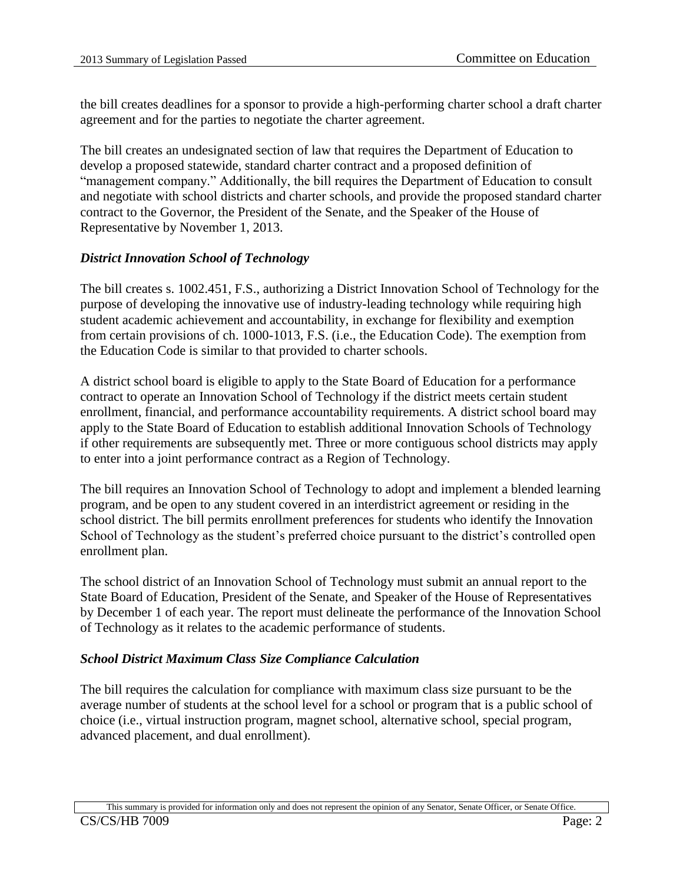the bill creates deadlines for a sponsor to provide a high-performing charter school a draft charter agreement and for the parties to negotiate the charter agreement.

The bill creates an undesignated section of law that requires the Department of Education to develop a proposed statewide, standard charter contract and a proposed definition of "management company." Additionally, the bill requires the Department of Education to consult and negotiate with school districts and charter schools, and provide the proposed standard charter contract to the Governor, the President of the Senate, and the Speaker of the House of Representative by November 1, 2013.

### *District Innovation School of Technology*

The bill creates s. 1002.451, F.S., authorizing a District Innovation School of Technology for the purpose of developing the innovative use of industry-leading technology while requiring high student academic achievement and accountability, in exchange for flexibility and exemption from certain provisions of ch. 1000-1013, F.S. (i.e., the Education Code). The exemption from the Education Code is similar to that provided to charter schools.

A district school board is eligible to apply to the State Board of Education for a performance contract to operate an Innovation School of Technology if the district meets certain student enrollment, financial, and performance accountability requirements. A district school board may apply to the State Board of Education to establish additional Innovation Schools of Technology if other requirements are subsequently met. Three or more contiguous school districts may apply to enter into a joint performance contract as a Region of Technology.

The bill requires an Innovation School of Technology to adopt and implement a blended learning program, and be open to any student covered in an interdistrict agreement or residing in the school district. The bill permits enrollment preferences for students who identify the Innovation School of Technology as the student's preferred choice pursuant to the district's controlled open enrollment plan.

The school district of an Innovation School of Technology must submit an annual report to the State Board of Education, President of the Senate, and Speaker of the House of Representatives by December 1 of each year. The report must delineate the performance of the Innovation School of Technology as it relates to the academic performance of students.

#### *School District Maximum Class Size Compliance Calculation*

The bill requires the calculation for compliance with maximum class size pursuant to be the average number of students at the school level for a school or program that is a public school of choice (i.e., virtual instruction program, magnet school, alternative school, special program, advanced placement, and dual enrollment).